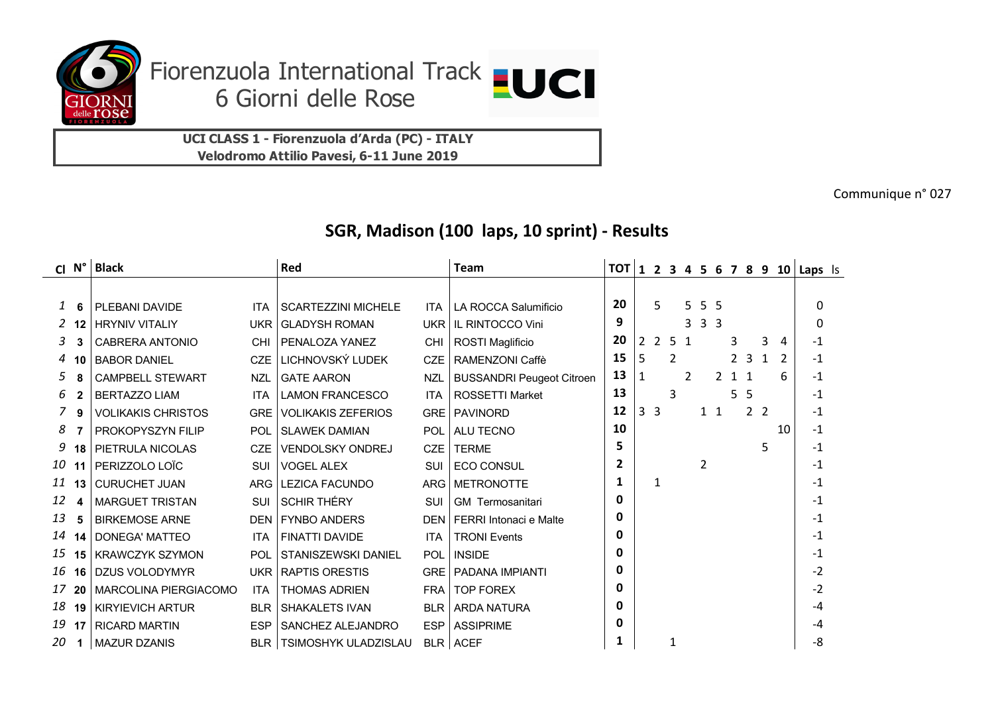

## 6 Giorni delle Rose Fiorenzuola International Track LUCI

**UCI CLASS 1 - Fiorenzuola d'Arda (PC) - ITALY Velodromo Attilio Pavesi, 6-11 June 2019**

Communique n° 027

## **SGR, Madison (100 laps, 10 sprint) - Results**

|                |              | Cl N° Black               |            | Red                         |            | Team                             |              |              |   |                |   |                   |   |                |                |    | TOT 1 2 3 4 5 6 7 8 9 10 Laps Is |  |
|----------------|--------------|---------------------------|------------|-----------------------------|------------|----------------------------------|--------------|--------------|---|----------------|---|-------------------|---|----------------|----------------|----|----------------------------------|--|
|                |              |                           |            |                             |            |                                  |              |              |   |                |   |                   |   |                |                |    |                                  |  |
| $\mathbf{1}$   | 6            | PLEBANI DAVIDE            | ITA.       | SCARTEZZINI MICHELE         | ITA        | LA ROCCA Salumificio             | 20           |              | 5 |                | 5 | 5 <sub>5</sub>    |   |                |                |    | 0                                |  |
| 2              | 12           | <b>HRYNIV VITALIY</b>     |            | UKR   GLADYSH ROMAN         |            | UKR   IL RINTOCCO Vini           | 9            |              |   |                | 3 | $\mathbf{3}$<br>3 |   |                |                |    | 0                                |  |
| 3              | 3            | <b>CABRERA ANTONIO</b>    | <b>CHI</b> | l PENALOZA YANEZ            | <b>CHI</b> | <b>ROSTI Maglificio</b>          | 20           | $\mathbf{2}$ |   | 2 5 1          |   |                   | 3 |                | 3              | 4  | $-1$                             |  |
| 4              | 10           | <b>BABOR DANIEL</b>       | <b>CZE</b> | LICHNOVSKÝ LUDEK            | <b>CZE</b> | <b>RAMENZONI Caffè</b>           | 15           | 5            |   | $\overline{2}$ |   |                   |   | 2 <sub>3</sub> | 1              | 2  | $-1$                             |  |
| 5              | 8            | <b>CAMPBELL STEWART</b>   | <b>NZL</b> | <b>GATE AARON</b>           | <b>NZL</b> | <b>BUSSANDRI Peugeot Citroen</b> | 13           |              |   | $\overline{2}$ |   | $\overline{2}$    |   | $1\quad1$      |                | 6  | $-1$                             |  |
| 6              | $\mathbf{2}$ | <b>BERTAZZO LIAM</b>      | <b>ITA</b> | <b>LAMON FRANCESCO</b>      | <b>ITA</b> | <b>ROSSETTI Market</b>           | 13           |              |   | 3              |   |                   | 5 | 5              |                |    | $-1$                             |  |
| $\overline{7}$ | 9            | <b>VOLIKAKIS CHRISTOS</b> | <b>GRE</b> | <b>VOLIKAKIS ZEFERIOS</b>   |            | <b>GRE   PAVINORD</b>            | 12           | 3            | 3 |                |   | $1\quad1$         |   |                | 2 <sub>2</sub> |    | $-1$                             |  |
| 8              |              | PROKOPYSZYN FILIP         | <b>POL</b> | <b>SLAWEK DAMIAN</b>        | POL        | ALU TECNO                        | 10           |              |   |                |   |                   |   |                |                | 10 | $-1$                             |  |
| 9              | 18           | PIETRULA NICOLAS          | <b>CZE</b> | <b>VENDOLSKY ONDREJ</b>     | <b>CZE</b> | <b>TERME</b>                     | 5            |              |   |                |   |                   |   |                | 5              |    | -1                               |  |
| 10             | 11           | PERIZZOLO LOÏC            | SUI        | <b>VOGEL ALEX</b>           | SUI        | <b>ECO CONSUL</b>                | 2            |              |   |                | 2 |                   |   |                |                |    | $-1$                             |  |
| 11             | 13           | <b>CURUCHET JUAN</b>      |            | ARG   LEZICA FACUNDO        |            | ARG METRONOTTE                   | 1            |              | 1 |                |   |                   |   |                |                |    | $-1$                             |  |
| 12             | 4            | <b>MARGUET TRISTAN</b>    | SUI        | l SCHIR THÉRY               | SUI        | <b>GM</b> Termosanitari          | 0            |              |   |                |   |                   |   |                |                |    | $-1$                             |  |
| 13             | 5            | <b>BIRKEMOSE ARNE</b>     |            | DEN   FYNBO ANDERS          |            | DEN   FERRI Intonaci e Malte     | 0            |              |   |                |   |                   |   |                |                |    | $-1$                             |  |
| 14             | 14           | <b>DONEGA' MATTEO</b>     | <b>ITA</b> | FINATTI DAVIDE              | <b>ITA</b> | <b>TRONI Events</b>              | 0            |              |   |                |   |                   |   |                |                |    | $-1$                             |  |
| 15             | 15           | <b>KRAWCZYK SZYMON</b>    | POL        | <b>STANISZEWSKI DANIEL</b>  | POL        | <b>INSIDE</b>                    | <sup>0</sup> |              |   |                |   |                   |   |                |                |    | $-1$                             |  |
| 16             | 16           | <b>DZUS VOLODYMYR</b>     |            | UKR   RAPTIS ORESTIS        | <b>GRE</b> | PADANA IMPIANTI                  | 0            |              |   |                |   |                   |   |                |                |    | $-2$                             |  |
| 17             | 20           | MARCOLINA PIERGIACOMO     | <b>ITA</b> | <b>THOMAS ADRIEN</b>        | <b>FRA</b> | <b>TOP FOREX</b>                 | 0            |              |   |                |   |                   |   |                |                |    | $-2$                             |  |
| 18             | 19           | <b>KIRYIEVICH ARTUR</b>   | <b>BLR</b> | <b>SHAKALETS IVAN</b>       | <b>BLR</b> | <b>ARDA NATURA</b>               | 0            |              |   |                |   |                   |   |                |                |    | -4                               |  |
| 19             | 17           | <b>RICARD MARTIN</b>      | <b>ESP</b> | SANCHEZ ALEJANDRO           | <b>ESP</b> | <b>ASSIPRIME</b>                 | 0            |              |   |                |   |                   |   |                |                |    | -4                               |  |
| 20             |              | <b>MAZUR DZANIS</b>       | <b>BLR</b> | <b>TSIMOSHYK ULADZISLAU</b> |            | <b>BLR   ACEF</b>                | 1            |              |   | 1              |   |                   |   |                |                |    | -8                               |  |